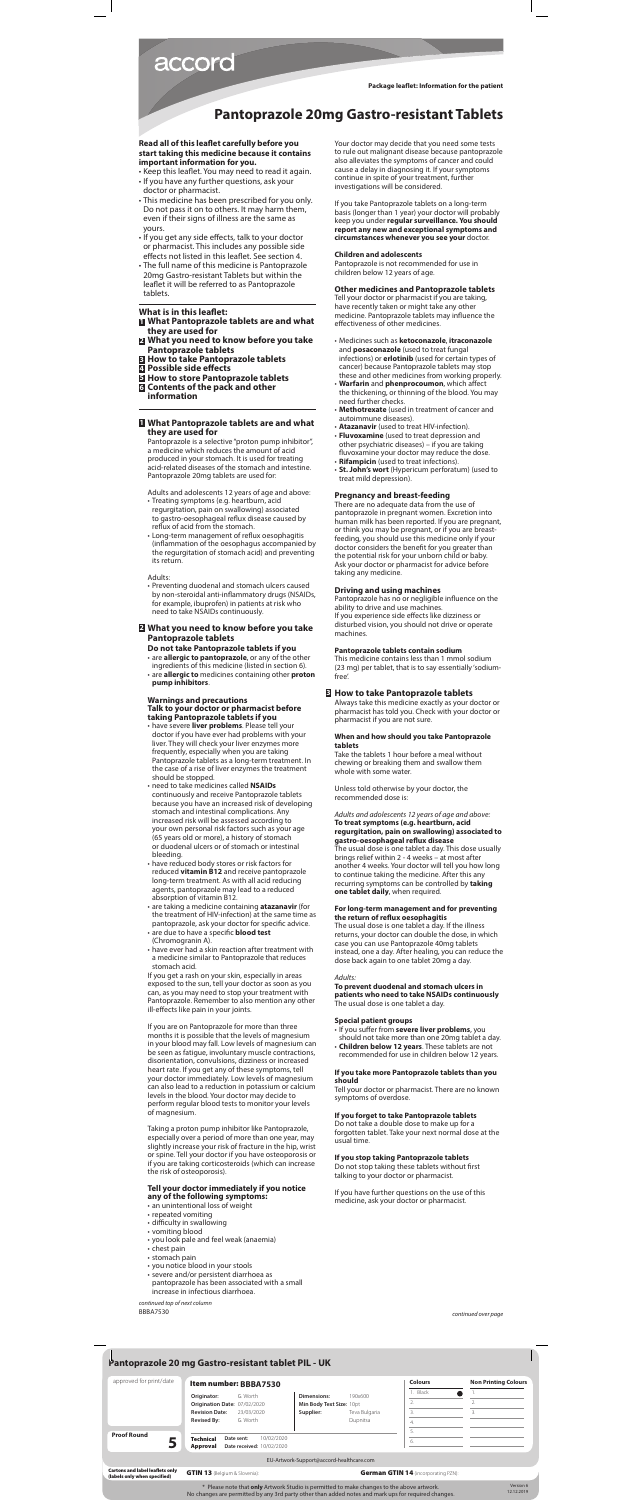### **Read all of this leaflet carefully before you start taking this medicine because it contains important information for you.**

Pantoprazole is a selective "proton pump inhibitor", a medicine which reduces the amount of acid produced in your stomach. It is used for treating acid-related diseases of the stomach and intestine. Pantoprazole 20mg tablets are used for:

- Keep this leaflet. You may need to read it again. • If you have any further questions, ask your doctor or pharmacist.
- This medicine has been prescribed for you only. Do not pass it on to others. It may harm them, even if their signs of illness are the same as yours.
- If you get any side effects, talk to your doctor or pharmacist. This includes any possible side effects not listed in this leaflet. See section 4.
- The full name of this medicine is Pantoprazole 20mg Gastro-resistant Tablets but within the leaflet it will be referred to as Pantoprazole tablets.

### **What is in this leaflet:**

- **1 What Pantoprazole tablets are and what they are used for**
- **2 What you need to know before you take Pantoprazole tablets**
- **3 How to take Pantoprazole tablets**
- **4 Possible side effects**
- **5 How to store Pantoprazole tablets**
- **6 Contents of the pack and other information**

### **1 What Pantoprazole tablets are and what they are used for**

Adults and adolescents 12 years of age and above:

- Treating symptoms (e.g. heartburn, acid regurgitation, pain on swallowing) associated to gastro-oesophageal reflux disease caused by reflux of acid from the stomach.
- Long-term management of reflux oesophagitis (inflammation of the oesophagus accompanied by the regurgitation of stomach acid) and preventing its return.

Adults:

• Preventing duodenal and stomach ulcers caused by non-steroidal anti-inflammatory drugs (NSAIDs, for example, ibuprofen) in patients at risk who need to take NSAIDs continuously.

### **2 What you need to know before you take Pantoprazole tablets**

**Do not take Pantoprazole tablets if you** • are **allergic to pantoprazole**, or any of the other ingredients of this medicine (listed in section 6). • are **allergic to** medicines containing other **proton pump inhibitors**.

### **Warnings and precautions**

### **Talk to your doctor or pharmacist before taking Pantoprazole tablets if you**

- have severe **liver problems**. Please tell your doctor if you have ever had problems with your liver. They will check your liver enzymes more frequently, especially when you are taking Pantoprazole tablets as a long-term treatment. In the case of a rise of liver enzymes the treatment should be stopped.
- need to take medicines called **NSAIDs** continuously and receive Pantoprazole tablets because you have an increased risk of developing stomach and intestinal complications. Any increased risk will be assessed according to your own personal risk factors such as your age (65 years old or more), a history of stomach or duodenal ulcers or of stomach or intestinal bleeding.
- have reduced body stores or risk factors for reduced **vitamin B12** and receive pantoprazole long-term treatment. As with all acid reducing agents, pantoprazole may lead to a reduced absorption of vitamin B12.
- are taking a medicine containing **atazanavir** (for the treatment of HIV-infection) at the same time as pantoprazole, ask your doctor for specific advice.
- are due to have a specific **blood test**  (Chromogranin A).
- have ever had a skin reaction after treatment with a medicine similar to Pantoprazole that reduces stomach acid.

If you get a rash on your skin, especially in areas exposed to the sun, tell your doctor as soon as you can, as you may need to stop your treatment with Pantoprazole. Remember to also mention any other ill-effects like pain in your joints.

If you are on Pantoprazole for more than three months it is possible that the levels of magnesium in your blood may fall. Low levels of magnesium can be seen as fatigue, involuntary muscle contractions, disorientation, convulsions, dizziness or increased heart rate. If you get any of these symptoms, tell your doctor immediately. Low levels of magnesium can also lead to a reduction in potassium or calcium levels in the blood. Your doctor may decide to perform regular blood tests to monitor your levels of magnesium.

Taking a proton pump inhibitor like Pantoprazole, especially over a period of more than one year, may slightly increase your risk of fracture in the hip, wrist or spine. Tell your doctor if you have osteoporosis or if you are taking corticosteroids (which can increase the risk of osteoporosis).

### **Tell your doctor immediately if you notice any of the following symptoms:**

- an unintentional loss of weight
- repeated vomiting
- difficulty in swallowing
- vomiting blood
- you look pale and feel weak (anaemia)
- chest pain
- stomach pain
- you notice blood in your stools
- severe and/or persistent diarrhoea as pantoprazole has been associated with a small increase in infectious diarrhoea.

Your doctor may decide that you need some tests to rule out malignant disease because pantoprazole also alleviates the symptoms of cancer and could cause a delay in diagnosing it. If your symptoms continue in spite of your treatment, further investigations will be considered.

If you take Pantoprazole tablets on a long-term basis (longer than 1 year) your doctor will probably keep you under **regular surveillance. You should report any new and exceptional symptoms and circumstances whenever you see your** doctor.

#### **Children and adolescents**

Pantoprazole is not recommended for use in children below 12 years of age.

### **Other medicines and Pantoprazole tablets**

Tell your doctor or pharmacist if you are taking, have recently taken or might take any other medicine. Pantoprazole tablets may influence the effectiveness of other medicines.

- Medicines such as **ketoconazole**, **itraconazole**  and **posaconazole** (used to treat fungal infections) or **erlotinib** (used for certain types of cancer) because Pantoprazole tablets may stop these and other medicines from working properly.
- **Warfarin** and **phenprocoumon**, which affect the thickening, or thinning of the blood. You may need further checks.
- **Methotrexate** (used in treatment of cancer and autoimmune diseases).
- **Atazanavir** (used to treat HIV-infection).
- **Fluvoxamine** (used to treat depression and other psychiatric diseases) – if you are taking fluvoxamine your doctor may reduce the dose.
- **Rifampicin** (used to treat infections).
- **St. John's wort** (Hypericum perforatum) (used to treat mild depression).

### **Pregnancy and breast-feeding**

There are no adequate data from the use of pantoprazole in pregnant women. Excretion into human milk has been reported. If you are pregnant, or think you may be pregnant, or if you are breastfeeding, you should use this medicine only if your doctor considers the benefit for you greater than the potential risk for your unborn child or baby. Ask your doctor or pharmacist for advice before taking any medicine.

#### **Driving and using machines**

Pantoprazole has no or negligible influence on the ability to drive and use machines. If you experience side effects like dizziness or disturbed vision, you should not drive or operate machines.

#### **Pantoprazole tablets contain sodium**

This medicine contains less than 1 mmol sodium (23 mg) per tablet, that is to say essentially 'sodiumfree'.

### **3 How to take Pantoprazole tablets**

Always take this medicine exactly as your doctor or pharmacist has told you. Check with your doctor or pharmacist if you are not sure.

### **When and how should you take Pantoprazole tablets**

Take the tablets 1 hour before a meal without chewing or breaking them and swallow them whole with some water.

Unless told otherwise by your doctor, the recommended dose is:

### *Adults and adolescents 12 years of age and above:* **To treat symptoms (e.g. heartburn, acid regurgitation, pain on swallowing) associated to gastro-oesophageal reflux disease**

The usual dose is one tablet a day. This dose usually brings relief within 2 - 4 weeks – at most after another 4 weeks. Your doctor will tell you how long to continue taking the medicine. After this any recurring symptoms can be controlled by **taking one tablet daily**, when required.

### **For long-term management and for preventing the return of reflux oesophagitis**

The usual dose is one tablet a day. If the illness returns, your doctor can double the dose, in which case you can use Pantoprazole 40mg tablets instead, one a day. After healing, you can reduce the dose back again to one tablet 20mg a day.

#### *Adults:*

## **To prevent duodenal and stomach ulcers in patients who need to take NSAIDs continuously**

The usual dose is one tablet a day.

### **Special patient groups**

- If you suffer from **severe liver problems**, you should not take more than one 20mg tablet a day.
- **Children below 12 years**. These tablets are not recommended for use in children below 12 years.

### **If you take more Pantoprazole tablets than you should**

Tell your doctor or pharmacist. There are no known symptoms of overdose.

#### **If you forget to take Pantoprazole tablets**

Do not take a double dose to make up for a forgotten tablet. Take your next normal dose at the usual time.

### **If you stop taking Pantoprazole tablets**

Do not stop taking these tablets without first talking to your doctor or pharmacist.

If you have further questions on the use of this medicine, ask your doctor or pharmacist.

# accord

**Package leaflet: Information for the patient**

## **Pantoprazole 20mg Gastro-resistant Tablets**

BBBA7530 *continued top of next column*